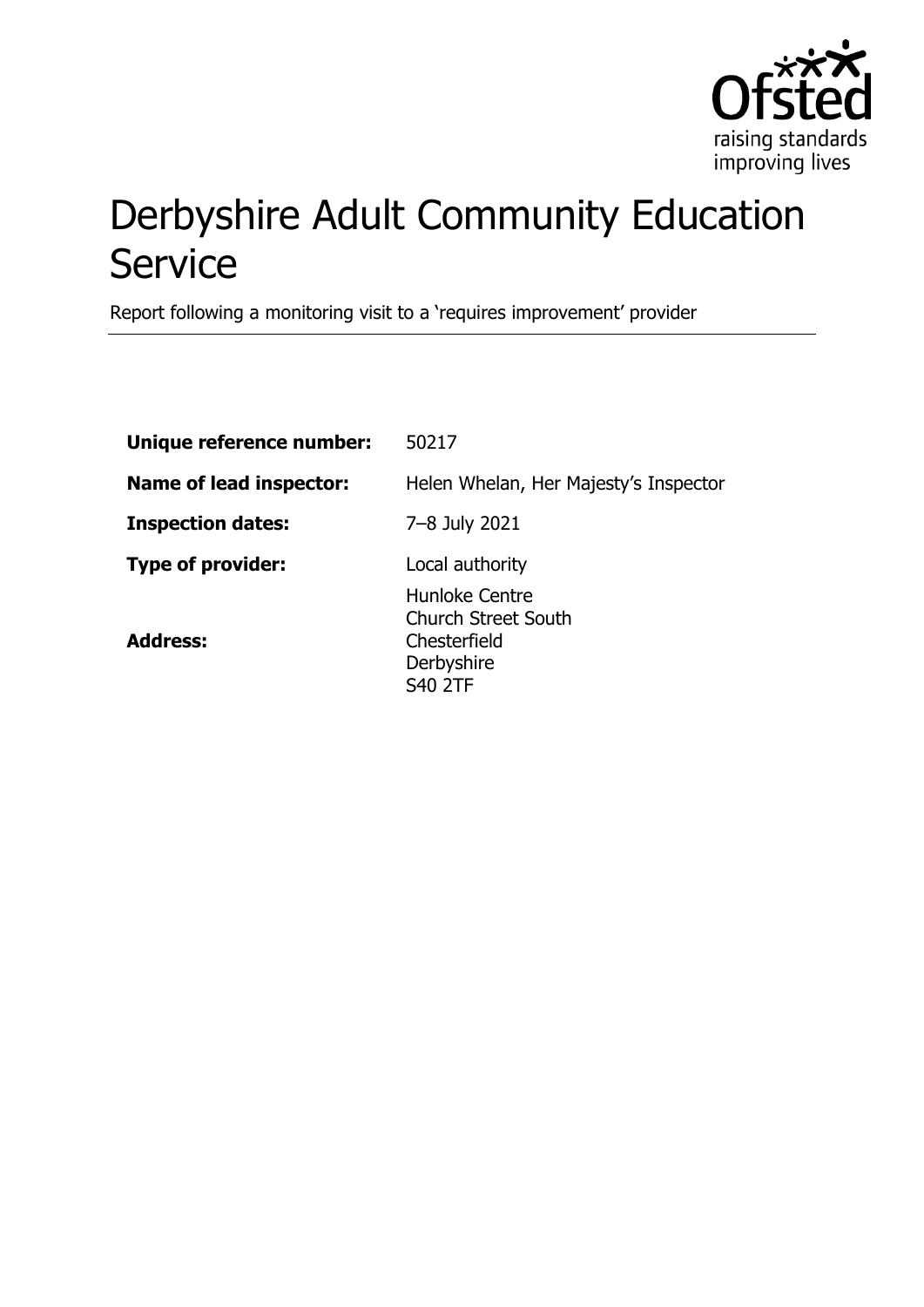

# Derbyshire Adult Community Education **Service**

Report following a monitoring visit to a 'requires improvement' provider

| Unique reference number:       | 50217                                                                                        |
|--------------------------------|----------------------------------------------------------------------------------------------|
| <b>Name of lead inspector:</b> | Helen Whelan, Her Majesty's Inspector                                                        |
| <b>Inspection dates:</b>       | 7-8 July 2021                                                                                |
| <b>Type of provider:</b>       | Local authority                                                                              |
| <b>Address:</b>                | Hunloke Centre<br><b>Church Street South</b><br>Chesterfield<br>Derbyshire<br><b>S40 2TF</b> |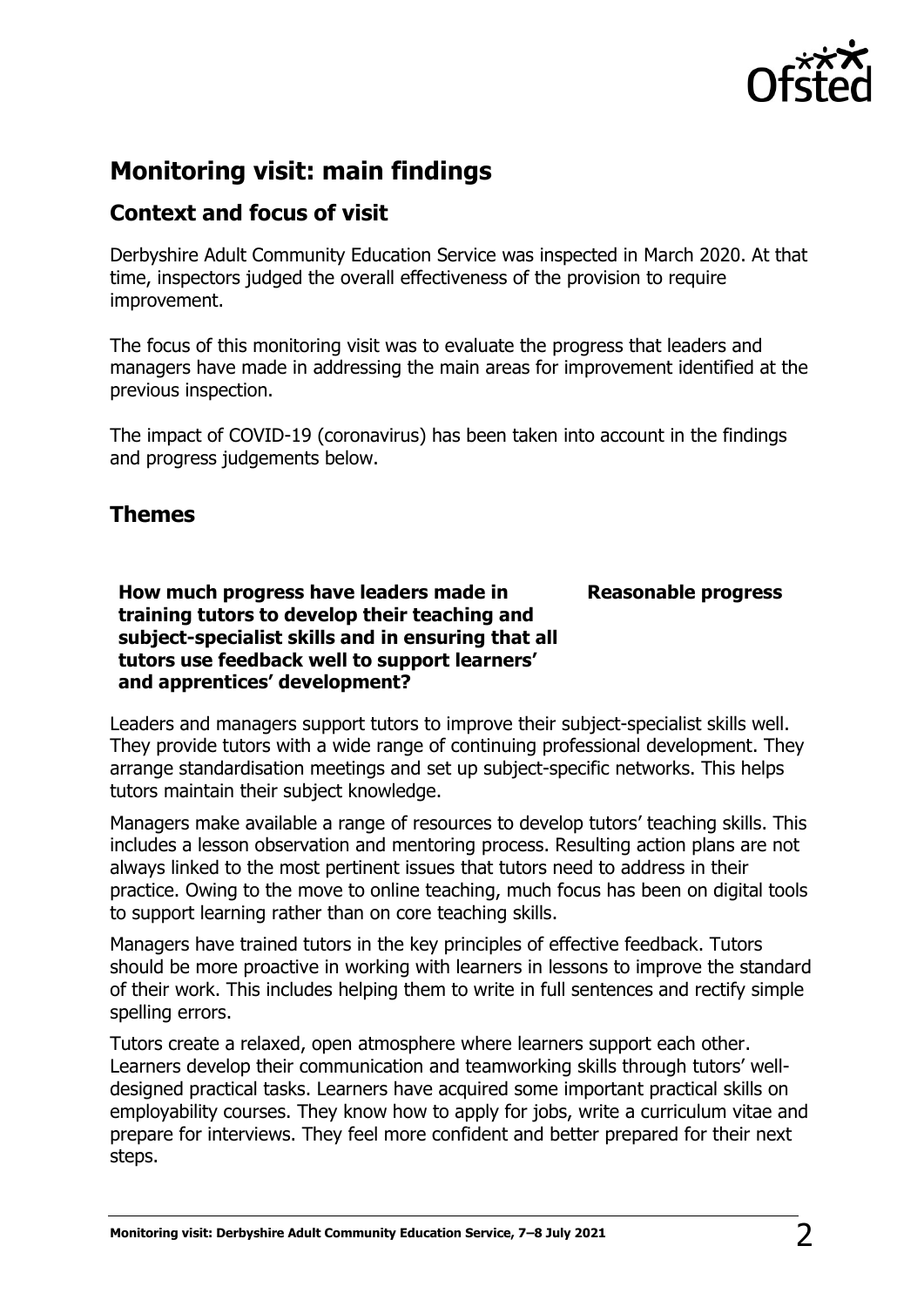

## **Monitoring visit: main findings**

## **Context and focus of visit**

Derbyshire Adult Community Education Service was inspected in March 2020. At that time, inspectors judged the overall effectiveness of the provision to require improvement.

The focus of this monitoring visit was to evaluate the progress that leaders and managers have made in addressing the main areas for improvement identified at the previous inspection.

The impact of COVID-19 (coronavirus) has been taken into account in the findings and progress judgements below.

### **Themes**

**How much progress have leaders made in training tutors to develop their teaching and subject-specialist skills and in ensuring that all tutors use feedback well to support learners' and apprentices' development?**

**Reasonable progress**

Leaders and managers support tutors to improve their subject-specialist skills well. They provide tutors with a wide range of continuing professional development. They arrange standardisation meetings and set up subject-specific networks. This helps tutors maintain their subject knowledge.

Managers make available a range of resources to develop tutors' teaching skills. This includes a lesson observation and mentoring process. Resulting action plans are not always linked to the most pertinent issues that tutors need to address in their practice. Owing to the move to online teaching, much focus has been on digital tools to support learning rather than on core teaching skills.

Managers have trained tutors in the key principles of effective feedback. Tutors should be more proactive in working with learners in lessons to improve the standard of their work. This includes helping them to write in full sentences and rectify simple spelling errors.

Tutors create a relaxed, open atmosphere where learners support each other. Learners develop their communication and teamworking skills through tutors' welldesigned practical tasks. Learners have acquired some important practical skills on employability courses. They know how to apply for jobs, write a curriculum vitae and prepare for interviews. They feel more confident and better prepared for their next steps.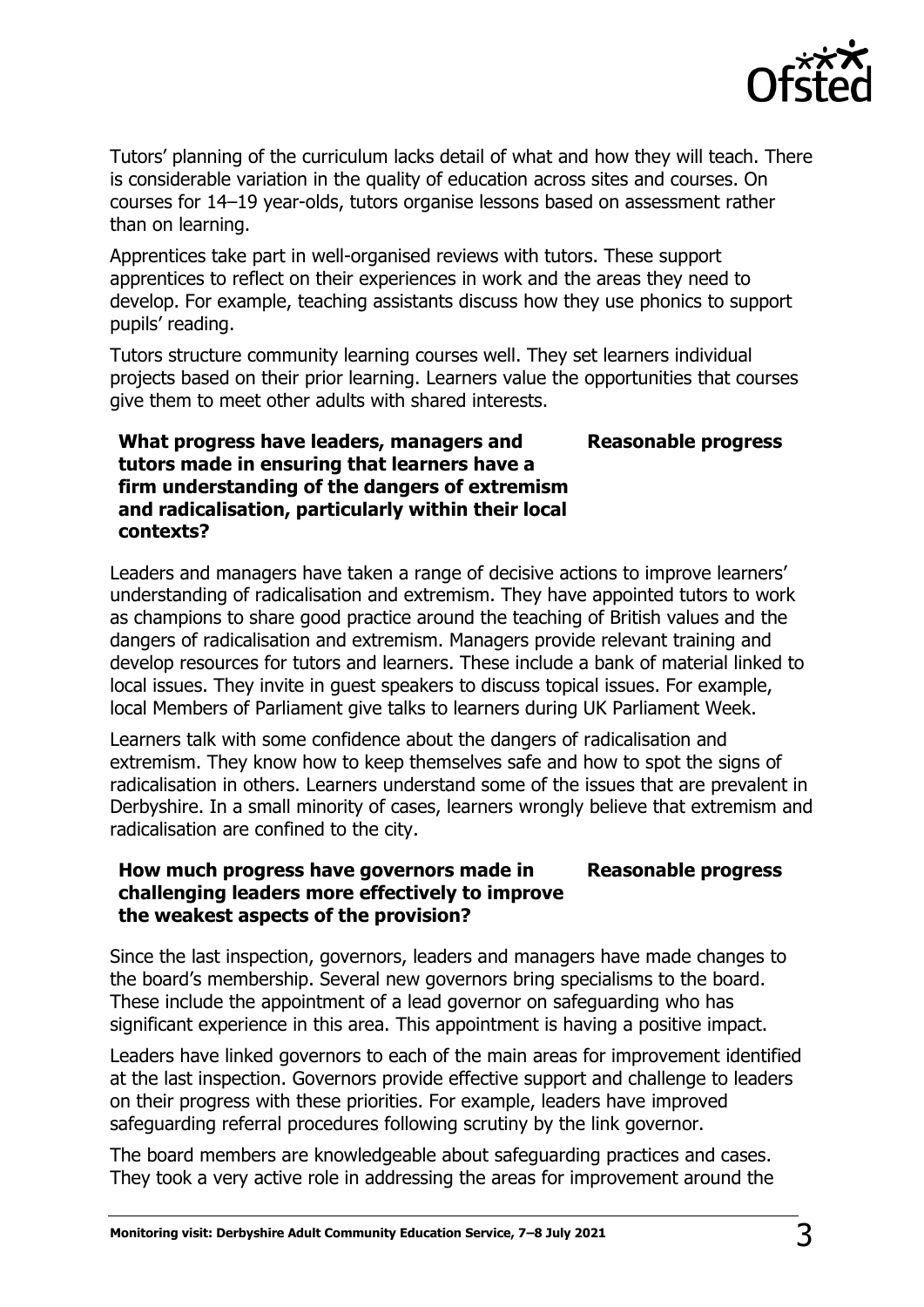

Tutors' planning of the curriculum lacks detail of what and how they will teach. There is considerable variation in the quality of education across sites and courses. On courses for 14–19 year-olds, tutors organise lessons based on assessment rather than on learning.

Apprentices take part in well-organised reviews with tutors. These support apprentices to reflect on their experiences in work and the areas they need to develop. For example, teaching assistants discuss how they use phonics to support pupils' reading.

Tutors structure community learning courses well. They set learners individual projects based on their prior learning. Learners value the opportunities that courses give them to meet other adults with shared interests.

#### **What progress have leaders, managers and tutors made in ensuring that learners have a firm understanding of the dangers of extremism and radicalisation, particularly within their local contexts? Reasonable progress**

Leaders and managers have taken a range of decisive actions to improve learners' understanding of radicalisation and extremism. They have appointed tutors to work as champions to share good practice around the teaching of British values and the dangers of radicalisation and extremism. Managers provide relevant training and develop resources for tutors and learners. These include a bank of material linked to local issues. They invite in guest speakers to discuss topical issues. For example, local Members of Parliament give talks to learners during UK Parliament Week.

Learners talk with some confidence about the dangers of radicalisation and extremism. They know how to keep themselves safe and how to spot the signs of radicalisation in others. Learners understand some of the issues that are prevalent in Derbyshire. In a small minority of cases, learners wrongly believe that extremism and radicalisation are confined to the city.

#### **How much progress have governors made in challenging leaders more effectively to improve the weakest aspects of the provision? Reasonable progress**

Since the last inspection, governors, leaders and managers have made changes to the board's membership. Several new governors bring specialisms to the board. These include the appointment of a lead governor on safeguarding who has significant experience in this area. This appointment is having a positive impact.

Leaders have linked governors to each of the main areas for improvement identified at the last inspection. Governors provide effective support and challenge to leaders on their progress with these priorities. For example, leaders have improved safeguarding referral procedures following scrutiny by the link governor.

The board members are knowledgeable about safeguarding practices and cases. They took a very active role in addressing the areas for improvement around the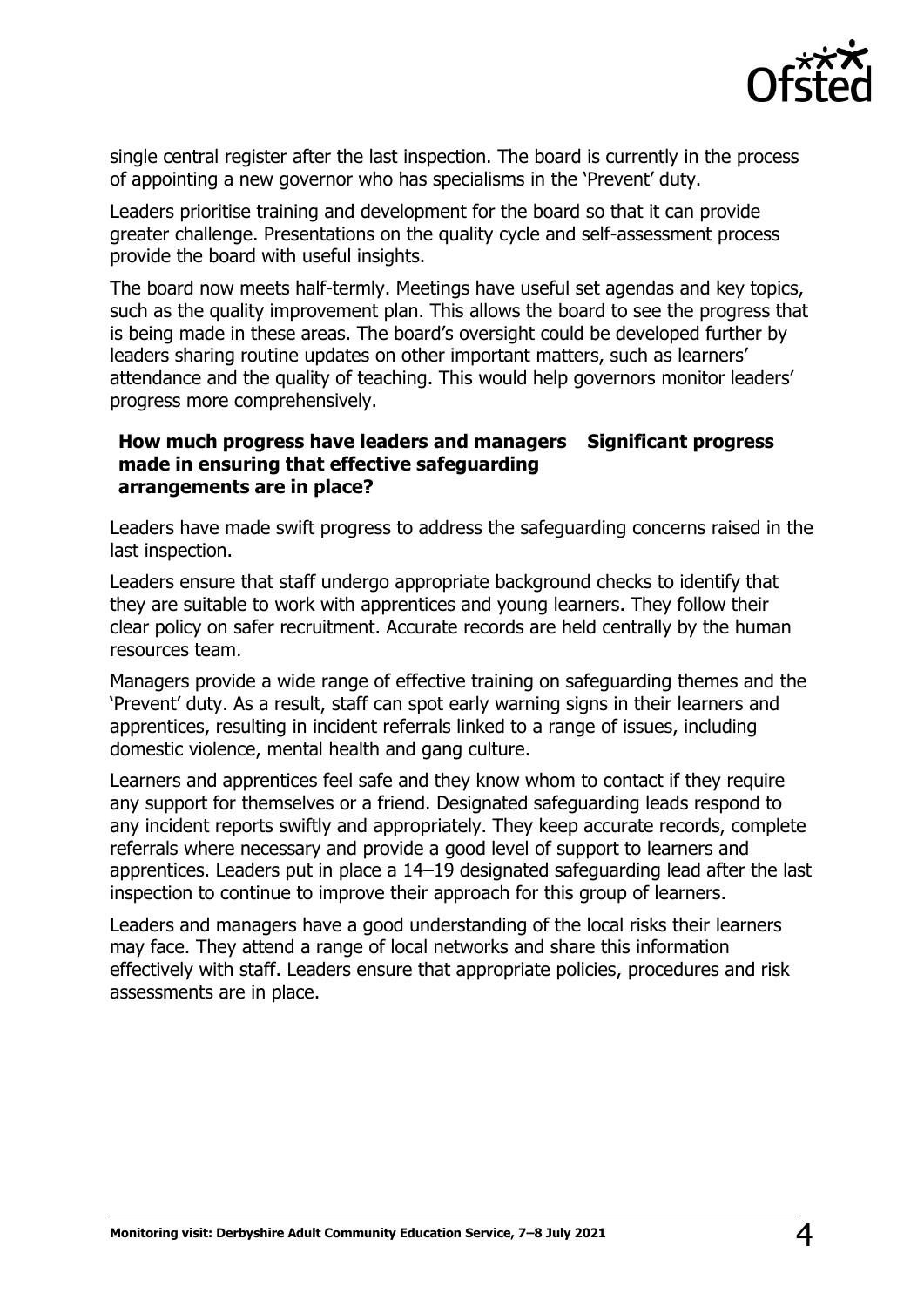

single central register after the last inspection. The board is currently in the process of appointing a new governor who has specialisms in the 'Prevent' duty.

Leaders prioritise training and development for the board so that it can provide greater challenge. Presentations on the quality cycle and self-assessment process provide the board with useful insights.

The board now meets half-termly. Meetings have useful set agendas and key topics, such as the quality improvement plan. This allows the board to see the progress that is being made in these areas. The board's oversight could be developed further by leaders sharing routine updates on other important matters, such as learners' attendance and the quality of teaching. This would help governors monitor leaders' progress more comprehensively.

#### **How much progress have leaders and managers Significant progress made in ensuring that effective safeguarding arrangements are in place?**

Leaders have made swift progress to address the safeguarding concerns raised in the last inspection.

Leaders ensure that staff undergo appropriate background checks to identify that they are suitable to work with apprentices and young learners. They follow their clear policy on safer recruitment. Accurate records are held centrally by the human resources team.

Managers provide a wide range of effective training on safeguarding themes and the 'Prevent' duty. As a result, staff can spot early warning signs in their learners and apprentices, resulting in incident referrals linked to a range of issues, including domestic violence, mental health and gang culture.

Learners and apprentices feel safe and they know whom to contact if they require any support for themselves or a friend. Designated safeguarding leads respond to any incident reports swiftly and appropriately. They keep accurate records, complete referrals where necessary and provide a good level of support to learners and apprentices. Leaders put in place a 14–19 designated safeguarding lead after the last inspection to continue to improve their approach for this group of learners.

Leaders and managers have a good understanding of the local risks their learners may face. They attend a range of local networks and share this information effectively with staff. Leaders ensure that appropriate policies, procedures and risk assessments are in place.